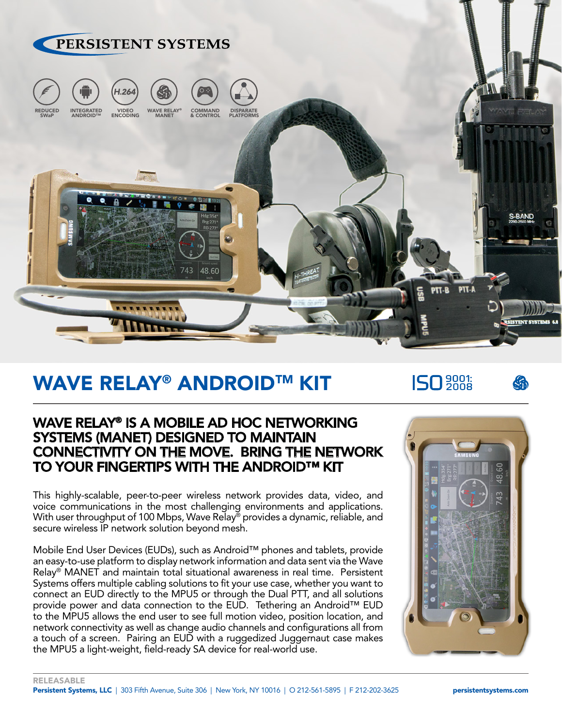

# WAVE RELAY® ANDROID™ KIT

**ISO** 2008



### WAVE RELAY® IS A MOBILE AD HOC NETWORKING SYSTEMS (MANET) DESIGNED TO MAINTAIN CONNECTIVITY ON THE MOVE. BRING THE NETWORK TO YOUR FINGERTIPS WITH THE ANDROID™ KIT

This highly-scalable, peer-to-peer wireless network provides data, video, and voice communications in the most challenging environments and applications. With user throughput of 100 Mbps, Wave Relay<sup>®</sup> provides a dynamic, reliable, and secure wireless IP network solution beyond mesh.

Mobile End User Devices (EUDs), such as Android™ phones and tablets, provide an easy-to-use platform to display network information and data sent via the Wave Relay® MANET and maintain total situational awareness in real time. Persistent Systems offers multiple cabling solutions to fit your use case, whether you want to connect an EUD directly to the MPU5 or through the Dual PTT, and all solutions provide power and data connection to the EUD. Tethering an Android™ EUD to the MPU5 allows the end user to see full motion video, position location, and network connectivity as well as change audio channels and configurations all from a touch of a screen. Pairing an EUD with a ruggedized Juggernaut case makes the MPU5 a light-weight, field-ready SA device for real-world use.